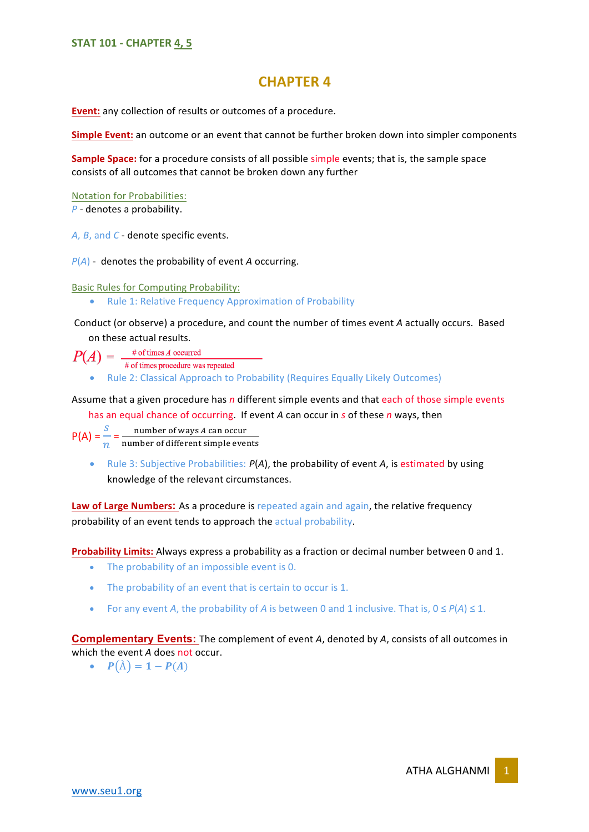# **CHAPTER 4**

**Event:** any collection of results or outcomes of a procedure.

**Simple Event:** an outcome or an event that cannot be further broken down into simpler components

**Sample Space:** for a procedure consists of all possible simple events; that is, the sample space consists of all outcomes that cannot be broken down any further

### Notation for Probabilities:

*P* - denotes a probability.

*A, B,* and *C* - denote specific events.

 $P(A)$  - denotes the probability of event *A* occurring.

Basic Rules for Computing Probability:

• Rule 1: Relative Frequency Approximation of Probability

Conduct (or observe) a procedure, and count the number of times event A actually occurs. Based on these actual results.<br> $P(A) = \frac{H \text{ of times } A \text{ occurred}}{H}$ 

- # of times procedure was repeated
- Rule 2: Classical Approach to Probability (Requires Equally Likely Outcomes)

Assume that a given procedure has *n* different simple events and that each of those simple events

has an equal chance of occurring. If event *A* can occur in *s* of these *n* ways, then

 $P(A) =$  $\overline{\mathcal{S}}$  $\, n \,$  number of different simple events  $=\frac{\text{number of ways } A \text{ can occur}}{\text{number of different simple sets}}$ 

• Rule 3: Subjective Probabilities:  $P(A)$ , the probability of event A, is estimated by using knowledge of the relevant circumstances.

Law of Large Numbers: As a procedure is repeated again and again, the relative frequency probability of an event tends to approach the actual probability.

**Probability Limits:** Always express a probability as a fraction or decimal number between 0 and 1.

- The probability of an impossible event is 0.
- The probability of an event that is certain to occur is 1.
- For any event *A*, the probability of *A* is between 0 and 1 inclusive. That is,  $0 \le P(A) \le 1$ .

**Complementary Events:** The complement of event *A*, denoted by *A*, consists of all outcomes in which the event *A* does not occur.

•  $P(\hat{A}) = 1 - P(A)$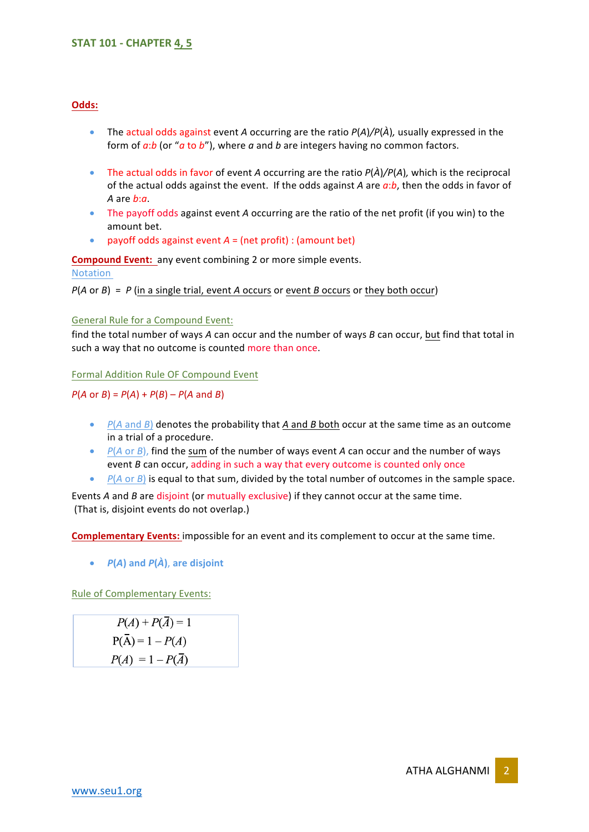### **Odds:**

- The actual odds against event A occurring are the ratio  $P(A)/P(\hat{A})$ , usually expressed in the form of  $a:b$  (or " $a$  to  $b$ "), where  $a$  and  $b$  are integers having no common factors.
- The actual odds in favor of event *A* occurring are the ratio  $P(\lambda)/P(A)$ , which is the reciprocal of the actual odds against the event. If the odds against A are  $a:b$ , then the odds in favor of *A* are *b*:*a*.
- The payoff odds against event *A* occurring are the ratio of the net profit (if you win) to the amount bet.
- payoff odds against event  $A = (net profit) : (amount bet)$

**Compound Event:** any event combining 2 or more simple events. Notation

 $P(A \text{ or } B) = P$  (in a single trial, event *A* occurs or event *B* occurs or they both occur)

### General Rule for a Compound Event:

find the total number of ways A can occur and the number of ways B can occur, but find that total in such a way that no outcome is counted more than once.

Formal Addition Rule OF Compound Event

 $P(A \text{ or } B) = P(A) + P(B) - P(A \text{ and } B)$ 

- *P(A* and *B)* denotes the probability that *A* and *B* both occur at the same time as an outcome in a trial of a procedure.
- $P(A \text{ or } B)$ , find the sum of the number of ways event A can occur and the number of ways event *B* can occur, adding in such a way that every outcome is counted only once
- $P(A \text{ or } B)$  is equal to that sum, divided by the total number of outcomes in the sample space.

Events *A* and *B* are disjoint (or mutually exclusive) if they cannot occur at the same time. (That is, disjoint events do not overlap.)

**Complementary Events:** impossible for an event and its complement to occur at the same time.

•  $P(A)$  and  $P(\hat{A})$ , are disjoint

Rule of Complementary Events:

 $P(A) + P(\bar{A}) = 1$  $P(\bar{A}) = 1 - P(A)$  $P(A) = 1 - P(\overline{A})$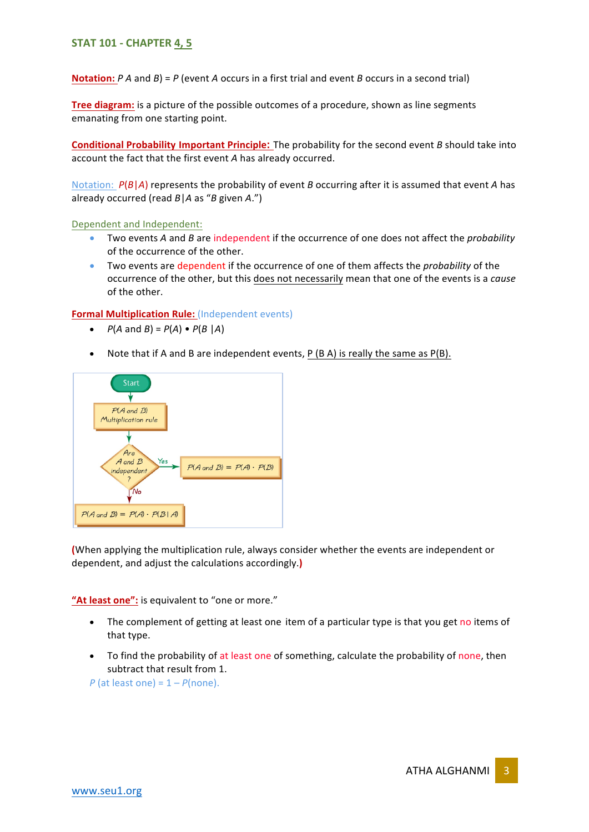**Notation:**  $P A$  and  $B$ ) =  $P$  (event  $A$  occurs in a first trial and event  $B$  occurs in a second trial)

**Tree diagram:** is a picture of the possible outcomes of a procedure, shown as line segments emanating from one starting point.

**Conditional Probability Important Principle:** The probability for the second event *B* should take into account the fact that the first event *A* has already occurred.

Notation:  $P(B|A)$  represents the probability of event *B* occurring after it is assumed that event *A* has already occurred (read *B*|*A* as "*B* given *A*.")

Dependent and Independent:

- Two events A and B are independent if the occurrence of one does not affect the *probability* of the occurrence of the other.
- Two events are dependent if the occurrence of one of them affects the *probability* of the occurrence of the other, but this does not necessarily mean that one of the events is a *cause* of the other.

**Formal Multiplication Rule:** (Independent events)

- $P(A \text{ and } B) = P(A) \cdot P(B \mid A)$
- Note that if A and B are independent events,  $P(B|A)$  is really the same as  $P(B)$ .



**(When applying the multiplication rule, always consider whether the events are independent or** dependent, and adjust the calculations accordingly.)

"At least one": is equivalent to "one or more."

- The complement of getting at least one item of a particular type is that you get no items of that type.
- To find the probability of at least one of something, calculate the probability of none, then subtract that result from 1.

*P* (at least one) =  $1 - P$ (none).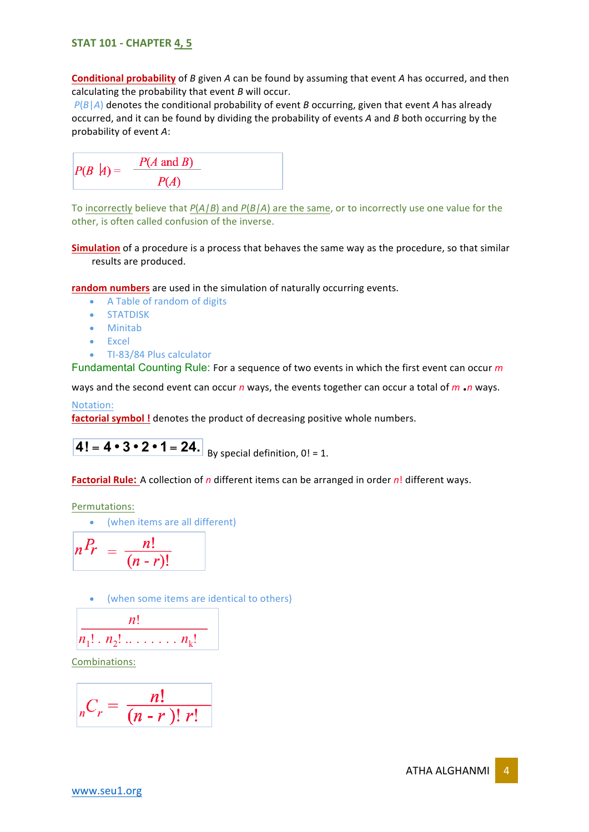**Conditional probability** of *B* given *A* can be found by assuming that event *A* has occurred, and then calculating the probability that event *B* will occur.

 $P(B|A)$  denotes the conditional probability of event *B* occurring, given that event *A* has already occurred, and it can be found by dividing the probability of events A and B both occurring by the probability of event A:

$$
P(B | A) = \frac{P(A \text{ and } B)}{P(A)}
$$

To incorrectly believe that  $P(A|B)$  and  $P(B|A)$  are the same, or to incorrectly use one value for the other, is often called confusion of the inverse.

**Simulation** of a procedure is a process that behaves the same way as the procedure, so that similar results are produced.

**random numbers** are used in the simulation of naturally occurring events.

- A Table of random of digits
- STATDISK
- Minitab
- Excel
- TI-83/84 Plus calculator

Fundamental Counting Rule: For a sequence of two events in which the first event can occur m

ways and the second event can occur *n* ways, the events together can occur a total of *m .n* ways.

Notation:

**factorial symbol**! denotes the product of decreasing positive whole numbers.

 $4! = 4 \cdot 3 \cdot 2 \cdot 1 = 24.$  By special definition, 0! = 1.

**Factorial Rule:** A collection of *n* different items can be arranged in order *n*! different ways.

Permutations: 

• (when items are all different)

$$
n P_r = \frac{n!}{(n-r)!}
$$

(when some items are identical to others)

$$
\frac{n!}{n_1! \cdot n_2! \cdot \ldots \cdot n_k!}
$$

Combinations: 

$$
{}_{n}C_{r}=\frac{n!}{(n-r)!r!}
$$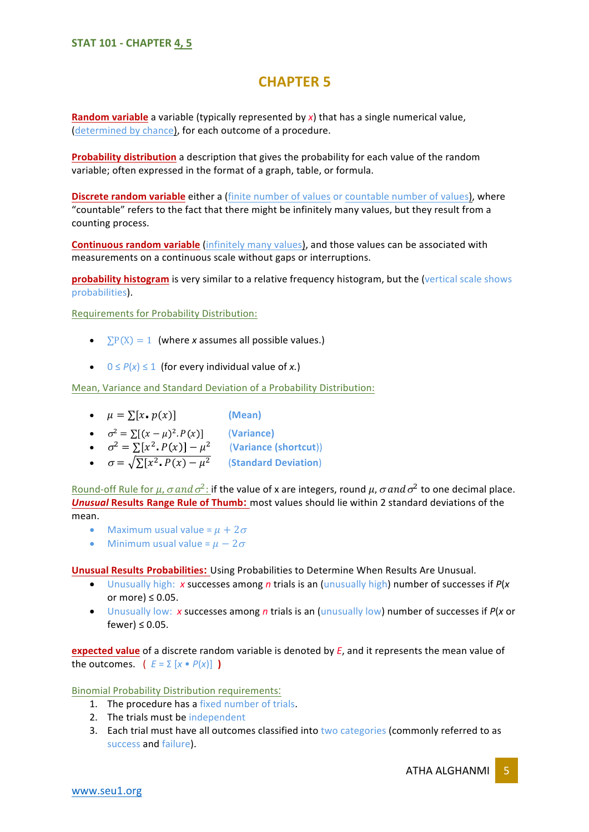# **CHAPTER 5**

**Random variable** a variable (typically represented by *x*) that has a single numerical value, (determined by chance), for each outcome of a procedure.

**Probability distribution** a description that gives the probability for each value of the random variable; often expressed in the format of a graph, table, or formula.

**Discrete random variable** either a (finite number of values or countable number of values), where "countable" refers to the fact that there might be infinitely many values, but they result from a counting process.

**Continuous random variable** (infinitely many values), and those values can be associated with measurements on a continuous scale without gaps or interruptions.

**probability histogram** is very similar to a relative frequency histogram, but the (vertical scale shows probabilities).

Requirements for Probability Distribution:

- $\Sigma P(X) = 1$  (where *x* assumes all possible values.)
- $0 \le P(x) \le 1$  (for every individual value of *x*.)

Mean, Variance and Standard Deviation of a Probability Distribution:

- $\mu = \sum [x \cdot p(x)]$  (Mean)
- $\sigma^2 = \sum [(x \mu)^2 \cdot P(x)]$  (Variance)
- $\sigma^2 = \sum [x^2 \cdot P(x)] \mu^2$  (Variance (shortcut))
- $\sigma = \sqrt{\sum [x^2 \cdot P(x) \mu^2]}$  (Standard Deviation)

Round-off Rule for  $\mu$ ,  $\sigma$  and  $\sigma^2$ : if the value of x are integers, round  $\mu$ ,  $\sigma$  and  $\sigma^2$  to one decimal place. *Unusual* **Results Range Rule of Thumb:** most values should lie within 2 standard deviations of the mean.

- Maximum usual value =  $\mu$  + 2 $\sigma$
- Minimum usual value =  $\mu 2\sigma$

**Unusual Results Probabilities:** Using Probabilities to Determine When Results Are Unusual.

- Unusually high: *x* successes among *n* trials is an (unusually high) number of successes if  $P(x)$ or more)  $\leq 0.05$ .
- Unusually low: *x* successes among *n* trials is an (unusually low) number of successes if *P*(*x* or  $fewer$ )  $\leq$  0.05.

**expected value** of a discrete random variable is denoted by *E*, and it represents the mean value of the outcomes.  $(E = \sum [x \cdot P(x)]$ 

Binomial Probability Distribution requirements:

- 1. The procedure has a fixed number of trials.
- 2. The trials must be independent
- 3. Each trial must have all outcomes classified into two categories (commonly referred to as success and failure).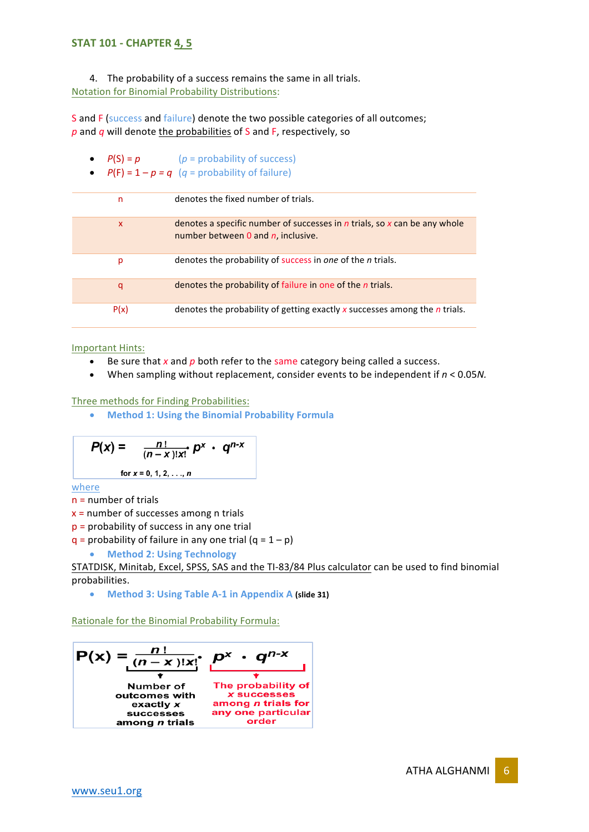## **STAT 101 - CHAPTER 4, 5**

4. The probability of a success remains the same in all trials. Notation for Binomial Probability Distributions:

S and F (success and failure) denote the two possible categories of all outcomes; *p* and *q* will denote the probabilities of S and F, respectively, so

- $P(S) = p$  (*p* = probability of success)
- $P(F) = 1 p = q$  (*q* = probability of failure)

| n            | denotes the fixed number of trials.                                                                                         |
|--------------|-----------------------------------------------------------------------------------------------------------------------------|
| $\mathbf{x}$ | denotes a specific number of successes in <i>n</i> trials, so x can be any whole<br>number between $0$ and $n$ , inclusive. |
| р            | denotes the probability of success in one of the <i>n</i> trials.                                                           |
| q            | denotes the probability of failure in one of the <i>n</i> trials.                                                           |
| P(x)         | denotes the probability of getting exactly x successes among the $n$ trials.                                                |

**Important Hints:** 

- Be sure that  $x$  and  $p$  both refer to the same category being called a success.
- When sampling without replacement, consider events to be independent if  $n < 0.05N$ .

### Three methods for Finding Probabilities:

**•** Method 1: Using the Binomial Probability Formula

$$
P(x) = \frac{n!}{(n-x)!x!} p^x \cdot q^{n-x}
$$
  
for x = 0, 1, 2, ..., n

where

 $n =$  number of trials

- $x =$  number of successes among n trials
- $p =$  probability of success in any one trial
- $q =$  probability of failure in any one trial  $(q = 1 p)$ 
	- **Method 2: Using Technology**

STATDISK, Minitab, Excel, SPSS, SAS and the TI-83/84 Plus calculator can be used to find binomial probabilities.

• Method 3: Using Table A-1 in Appendix A (slide 31)

### Rationale for the Binomial Probability Formula:

 $n!$  $q^{n-x}$  $P(x) = \frac{n!}{(n-x)!x!}$ The probability of Number of outcomes with **X SUCCESSES** among n trials for exactly x any one particular successes order among n trials